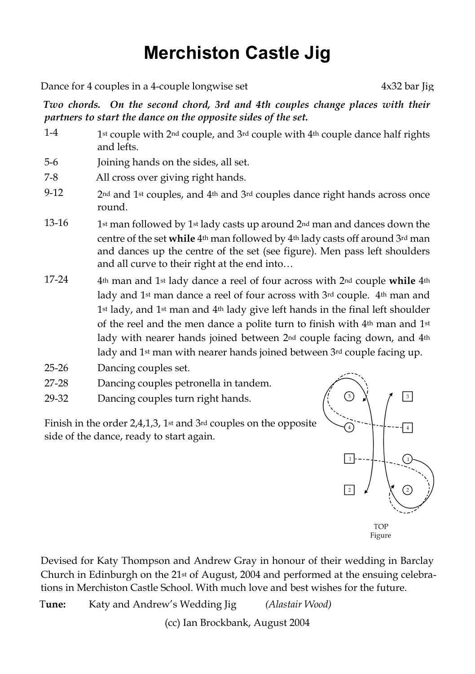## **Merchiston Castle Jig**

Dance for 4 couples in a 4-couple longwise set  $4x32$  bar Jig

*Two chords. On the second chord, 3rd and 4th couples change places with their partners to start the dance on the opposite sides of the set.*

- $1-4$  1st couple with  $2<sup>nd</sup>$  couple, and  $3<sup>rd</sup>$  couple with  $4<sup>th</sup>$  couple dance half rights and lefts.
- 5-6 Joining hands on the sides, all set.
- 7-8 All cross over giving right hands.
- 9-12 2nd and 1st couples, and  $4th$  and  $3rd$  couples dance right hands across once round.
- 13-16 1st man followed by 1st lady casts up around  $2<sub>nd</sub>$  man and dances down the centre of the set **while** 4th man followed by 4th lady casts off around 3rd man and dances up the centre of the set (see figure). Men pass left shoulders and all curve to their right at the end into…
- 17-24 4th man and 1st lady dance a reel of four across with 2nd couple **while** 4th lady and 1<sup>st</sup> man dance a reel of four across with 3rd couple. 4<sup>th</sup> man and 1st lady, and 1st man and 4th lady give left hands in the final left shoulder of the reel and the men dance a polite turn to finish with 4th man and 1st lady with nearer hands joined between 2<sup>nd</sup> couple facing down, and 4<sup>th</sup> lady and 1<sup>st</sup> man with nearer hands joined between 3<sup>rd</sup> couple facing up.
- 25-26 Dancing couples set.
- 27-28 Dancing couples petronella in tandem.
- 29-32 Dancing couples turn right hands.

Finish in the order 2,4,1,3, 1st and 3rd couples on the opposite side of the dance, ready to start again.



Figure

Devised for Katy Thompson and Andrew Gray in honour of their wedding in Barclay Church in Edinburgh on the 21st of August, 2004 and performed at the ensuing celebrations in Merchiston Castle School. With much love and best wishes for the future.

T**une:** Katy and Andrew's Wedding Jig *(Alastair Wood)*

(cc) Ian Brockbank, August 2004